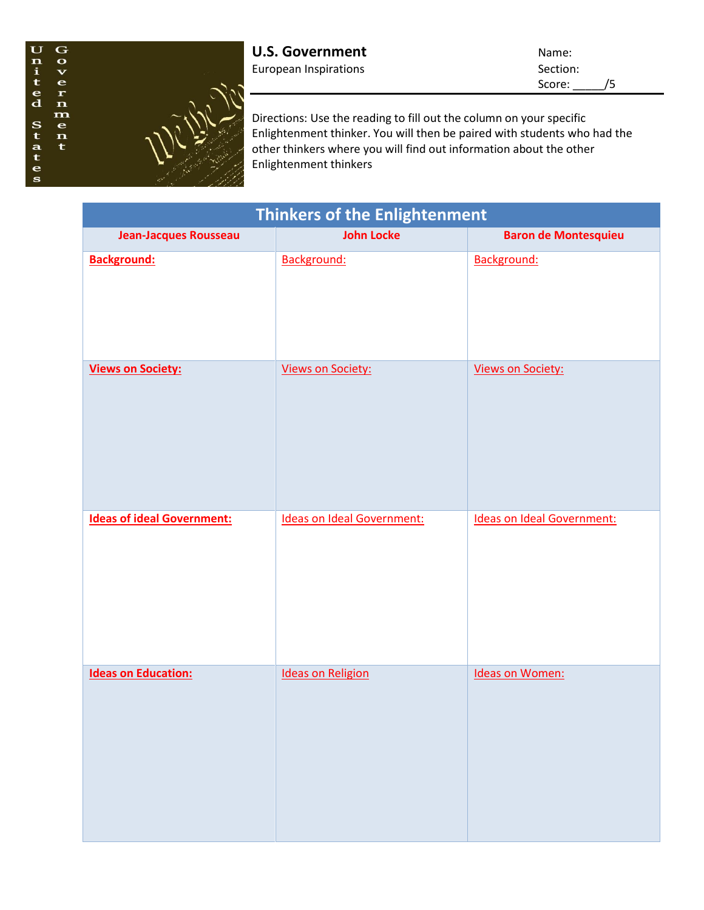

Score: \_\_\_\_\_/5

Directions: Use the reading to fill out the column on your specific Enlightenment thinker. You will then be paired with students who had the other thinkers where you will find out information about the other Enlightenment thinkers

| <b>Thinkers of the Enlightenment</b> |                                   |                                   |
|--------------------------------------|-----------------------------------|-----------------------------------|
| <b>Jean-Jacques Rousseau</b>         | <b>John Locke</b>                 | <b>Baron de Montesquieu</b>       |
| <b>Background:</b>                   | Background:                       | Background:                       |
| <b>Views on Society:</b>             | <b>Views on Society:</b>          | <b>Views on Society:</b>          |
| <b>Ideas of ideal Government:</b>    | <b>Ideas on Ideal Government:</b> | <b>Ideas on Ideal Government:</b> |
| <b>Ideas on Education:</b>           | <b>Ideas on Religion</b>          | <b>Ideas on Women:</b>            |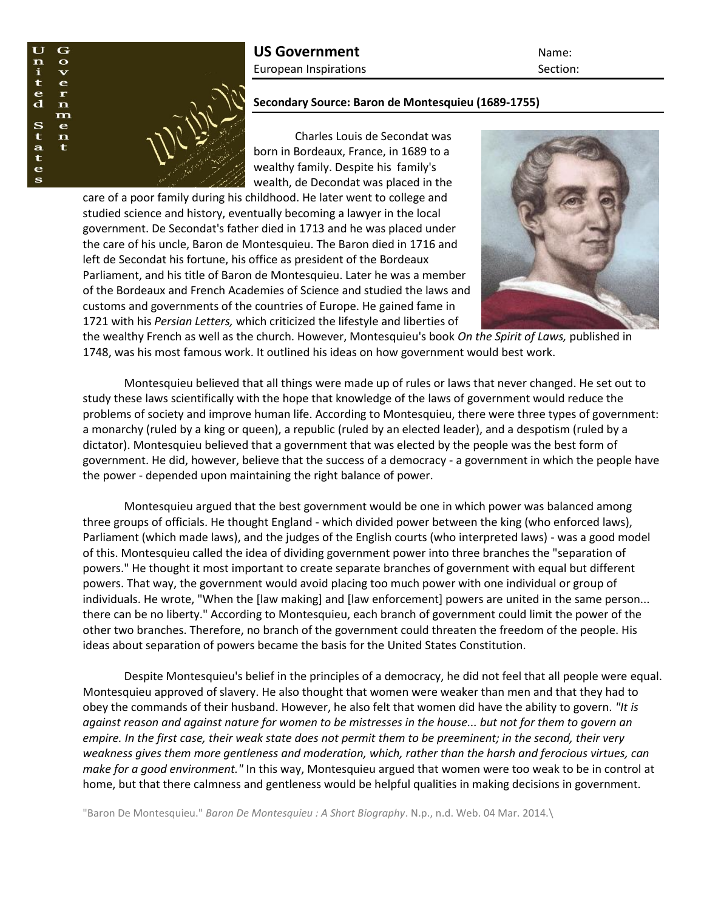

## **Secondary Source: Baron de Montesquieu (1689-1755)**

Charles Louis de Secondat was born in Bordeaux, France, in 1689 to a wealthy family. Despite his family's wealth, de Decondat was placed in the

care of a poor family during his childhood. He later went to college and studied science and history, eventually becoming a lawyer in the local government. De Secondat's father died in 1713 and he was placed under the care of his uncle, Baron de Montesquieu. The Baron died in 1716 and left de Secondat his fortune, his office as president of the Bordeaux Parliament, and his title of Baron de Montesquieu. Later he was a member of the Bordeaux and French Academies of Science and studied the laws and customs and governments of the countries of Europe. He gained fame in 1721 with his *Persian Letters,* which criticized the lifestyle and liberties of



the wealthy French as well as the church. However, Montesquieu's book *On the Spirit of Laws,* published in 1748, was his most famous work. It outlined his ideas on how government would best work.

Montesquieu believed that all things were made up of rules or laws that never changed. He set out to study these laws scientifically with the hope that knowledge of the laws of government would reduce the problems of society and improve human life. According to Montesquieu, there were three types of government: a monarchy (ruled by a king or queen), a republic (ruled by an elected leader), and a despotism (ruled by a dictator). Montesquieu believed that a government that was elected by the people was the best form of government. He did, however, believe that the success of a democracy - a government in which the people have the power - depended upon maintaining the right balance of power.

Montesquieu argued that the best government would be one in which power was balanced among three groups of officials. He thought England - which divided power between the king (who enforced laws), Parliament (which made laws), and the judges of the English courts (who interpreted laws) - was a good model of this. Montesquieu called the idea of dividing government power into three branches the "separation of powers." He thought it most important to create separate branches of government with equal but different powers. That way, the government would avoid placing too much power with one individual or group of individuals. He wrote, "When the [law making] and [law enforcement] powers are united in the same person... there can be no liberty." According to Montesquieu, each branch of government could limit the power of the other two branches. Therefore, no branch of the government could threaten the freedom of the people. His ideas about separation of powers became the basis for the United States Constitution.

Despite Montesquieu's belief in the principles of a democracy, he did not feel that all people were equal. Montesquieu approved of slavery. He also thought that women were weaker than men and that they had to obey the commands of their husband. However, he also felt that women did have the ability to govern. *"It is against reason and against nature for women to be mistresses in the house... but not for them to govern an empire. In the first case, their weak state does not permit them to be preeminent; in the second, their very weakness gives them more gentleness and moderation, which, rather than the harsh and ferocious virtues, can make for a good environment."* In this way, Montesquieu argued that women were too weak to be in control at home, but that there calmness and gentleness would be helpful qualities in making decisions in government.

"Baron De Montesquieu." *Baron De Montesquieu : A Short Biography*. N.p., n.d. Web. 04 Mar. 2014.\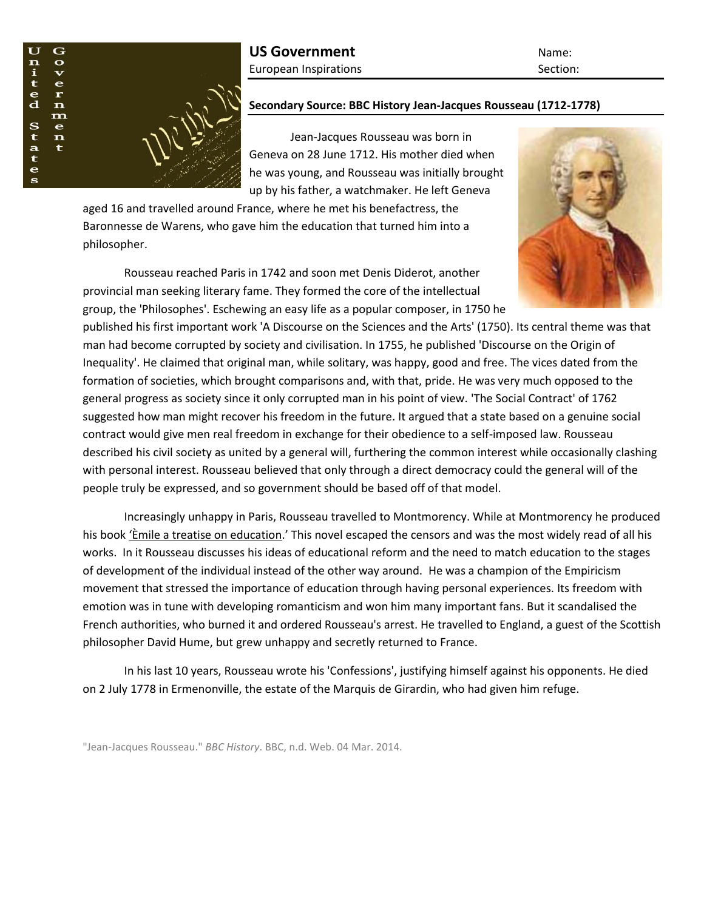

## **Secondary Source: BBC History Jean-Jacques Rousseau (1712-1778)**

Jean-Jacques Rousseau was born in Geneva on 28 June 1712. His mother died when he was young, and Rousseau was initially brought up by his father, a watchmaker. He left Geneva

aged 16 and travelled around France, where he met his benefactress, the Baronnesse de Warens, who gave him the education that turned him into a philosopher.

Rousseau reached Paris in 1742 and soon met Denis Diderot, another provincial man seeking literary fame. They formed the core of the intellectual group, the 'Philosophes'. Eschewing an easy life as a popular composer, in 1750 he

published his first important work 'A Discourse on the Sciences and the Arts' (1750). Its central theme was that man had become corrupted by society and civilisation. In 1755, he published 'Discourse on the Origin of Inequality'. He claimed that original man, while solitary, was happy, good and free. The vices dated from the formation of societies, which brought comparisons and, with that, pride. He was very much opposed to the general progress as society since it only corrupted man in his point of view. 'The Social Contract' of 1762 suggested how man might recover his freedom in the future. It argued that a state based on a genuine social contract would give men real freedom in exchange for their obedience to a self-imposed law. Rousseau described his civil society as united by a general will, furthering the common interest while occasionally clashing with personal interest. Rousseau believed that only through a direct democracy could the general will of the people truly be expressed, and so government should be based off of that model.

Increasingly unhappy in Paris, Rousseau travelled to Montmorency. While at Montmorency he produced his book 'Èmile a treatise on education.' This novel escaped the censors and was the most widely read of all his works. In it Rousseau discusses his ideas of educational reform and the need to match education to the stages of development of the individual instead of the other way around. He was a champion of the Empiricism movement that stressed the importance of education through having personal experiences. Its freedom with emotion was in tune with developing romanticism and won him many important fans. But it scandalised the French authorities, who burned it and ordered Rousseau's arrest. He travelled to England, a guest of the Scottish philosopher David Hume, but grew unhappy and secretly returned to France.

In his last 10 years, Rousseau wrote his 'Confessions', justifying himself against his opponents. He died on 2 July 1778 in Ermenonville, the estate of the Marquis de Girardin, who had given him refuge.

"Jean-Jacques Rousseau." *BBC History*. BBC, n.d. Web. 04 Mar. 2014.